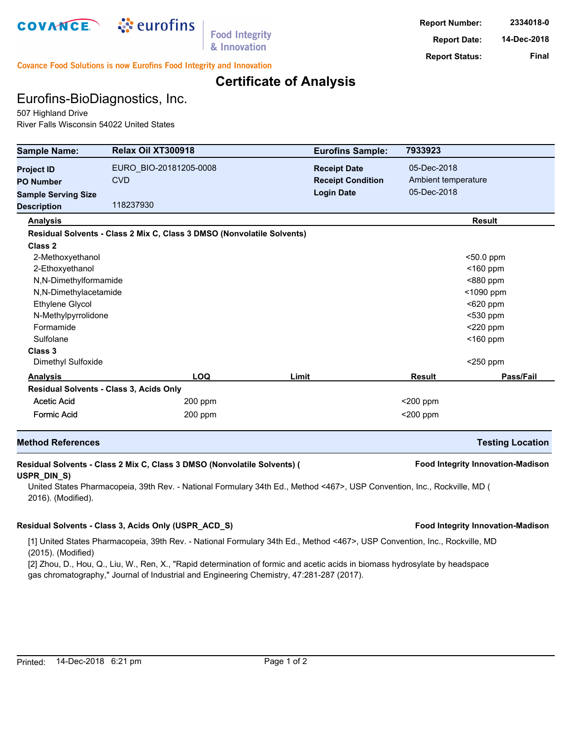

**Food Integrity** & Innovation

**Report Number: 2334018-0 Report Date: 14-Dec-2018 Report Status: Final**

**Covance Food Solutions is now Eurofins Food Integrity and Innovation** 

### **Certificate of Analysis**

## Eurofins-BioDiagnostics, Inc.

507 Highland Drive River Falls Wisconsin 54022 United States

| <b>Sample Name:</b>        | Relax Oil XT300918                                                     | <b>Eurofins Sample:</b>  | 7933923             |                         |  |
|----------------------------|------------------------------------------------------------------------|--------------------------|---------------------|-------------------------|--|
| <b>Project ID</b>          | EURO BIO-20181205-0008                                                 | <b>Receipt Date</b>      | 05-Dec-2018         |                         |  |
| <b>PO Number</b>           | <b>CVD</b>                                                             | <b>Receipt Condition</b> | Ambient temperature |                         |  |
| <b>Sample Serving Size</b> |                                                                        | <b>Login Date</b>        | 05-Dec-2018         |                         |  |
| <b>Description</b>         | 118237930                                                              |                          |                     |                         |  |
| <b>Analysis</b>            |                                                                        |                          |                     | <b>Result</b>           |  |
|                            | Residual Solvents - Class 2 Mix C, Class 3 DMSO (Nonvolatile Solvents) |                          |                     |                         |  |
| Class 2                    |                                                                        |                          |                     |                         |  |
| 2-Methoxyethanol           |                                                                        |                          | <50.0 ppm           |                         |  |
| 2-Ethoxyethanol            |                                                                        |                          |                     | $<$ 160 ppm             |  |
| N,N-Dimethylformamide      |                                                                        |                          | <880 ppm            |                         |  |
| N,N-Dimethylacetamide      |                                                                        |                          | <1090 ppm           |                         |  |
| Ethylene Glycol            |                                                                        |                          | $620$ ppm           |                         |  |
| N-Methylpyrrolidone        |                                                                        |                          | $<$ 530 ppm         |                         |  |
| Formamide                  |                                                                        |                          |                     | $<$ 220 ppm             |  |
| Sulfolane                  |                                                                        |                          | $<$ 160 ppm         |                         |  |
| Class 3                    |                                                                        |                          |                     |                         |  |
| Dimethyl Sulfoxide         |                                                                        |                          |                     | $<$ 250 ppm             |  |
| <b>Analysis</b>            | <b>LOQ</b>                                                             | Limit                    | <b>Result</b>       | Pass/Fail               |  |
|                            | Residual Solvents - Class 3, Acids Only                                |                          |                     |                         |  |
| <b>Acetic Acid</b>         | $200$ ppm                                                              |                          | <200 ppm            |                         |  |
| <b>Formic Acid</b>         | 200 ppm                                                                |                          | <200 ppm            |                         |  |
| <b>Method References</b>   |                                                                        |                          |                     | <b>Testing Location</b> |  |

### **Residual Solvents - Class 2 Mix C, Class 3 DMSO (Nonvolatile Solvents) ( Food Integrity Innovation-Madison USPR\_DIN\_S)**

United States Pharmacopeia, 39th Rev. - National Formulary 34th Ed., Method <467>, USP Convention, Inc., Rockville, MD ( 2016). (Modified).

#### **Residual Solvents - Class 3, Acids Only (USPR\_ACD\_S) Food Integrity Innovation-Madison**

[1] United States Pharmacopeia, 39th Rev. - National Formulary 34th Ed., Method <467>, USP Convention, Inc., Rockville, MD (2015). (Modified)

[2] Zhou, D., Hou, Q., Liu, W., Ren, X., "Rapid determination of formic and acetic acids in biomass hydrosylate by headspace gas chromatography," Journal of Industrial and Engineering Chemistry, 47:281-287 (2017).